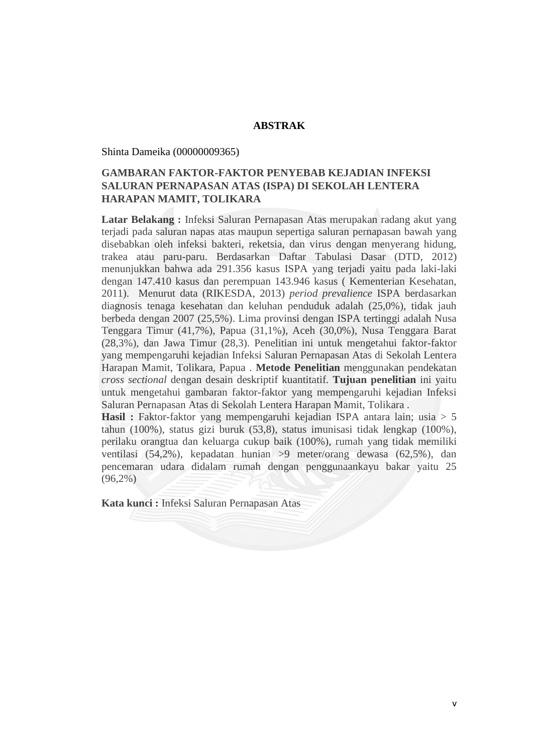## **ABSTRAK**

Shinta Dameika (00000009365)

## **GAMBARAN FAKTOR-FAKTOR PENYEBAB KEJADIAN INFEKSI SALURAN PERNAPASAN ATAS (ISPA) DI SEKOLAH LENTERA HARAPAN MAMIT, TOLIKARA**

**Latar Belakang :** Infeksi Saluran Pernapasan Atas merupakan radang akut yang terjadi pada saluran napas atas maupun sepertiga saluran pernapasan bawah yang disebabkan oleh infeksi bakteri, reketsia, dan virus dengan menyerang hidung, trakea atau paru-paru. Berdasarkan Daftar Tabulasi Dasar (DTD, 2012) menunjukkan bahwa ada 291.356 kasus ISPA yang terjadi yaitu pada laki-laki dengan 147.410 kasus dan perempuan 143.946 kasus ( Kementerian Kesehatan, 2011). Menurut data (RIKESDA, 2013) *period prevalience* ISPA berdasarkan diagnosis tenaga kesehatan dan keluhan penduduk adalah (25,0%), tidak jauh berbeda dengan 2007 (25,5%). Lima provinsi dengan ISPA tertinggi adalah Nusa Tenggara Timur (41,7%), Papua (31,1%), Aceh (30,0%), Nusa Tenggara Barat (28,3%), dan Jawa Timur (28,3). Penelitian ini untuk mengetahui faktor-faktor yang mempengaruhi kejadian Infeksi Saluran Pernapasan Atas di Sekolah Lentera Harapan Mamit, Tolikara, Papua . **Metode Penelitian** menggunakan pendekatan *cross sectional* dengan desain deskriptif kuantitatif*.* **Tujuan penelitian** ini yaitu untuk mengetahui gambaran faktor-faktor yang mempengaruhi kejadian Infeksi Saluran Pernapasan Atas di Sekolah Lentera Harapan Mamit, Tolikara .

Hasil : Faktor-faktor yang mempengaruhi kejadian ISPA antara lain; usia > 5 tahun (100%), status gizi buruk (53,8), status imunisasi tidak lengkap (100%), perilaku orangtua dan keluarga cukup baik (100%), rumah yang tidak memiliki ventilasi (54,2%), kepadatan hunian >9 meter/orang dewasa (62,5%), dan pencemaran udara didalam rumah dengan penggunaankayu bakar yaitu 25  $(96,2\%)$ 

**Kata kunci :** Infeksi Saluran Pernapasan Atas